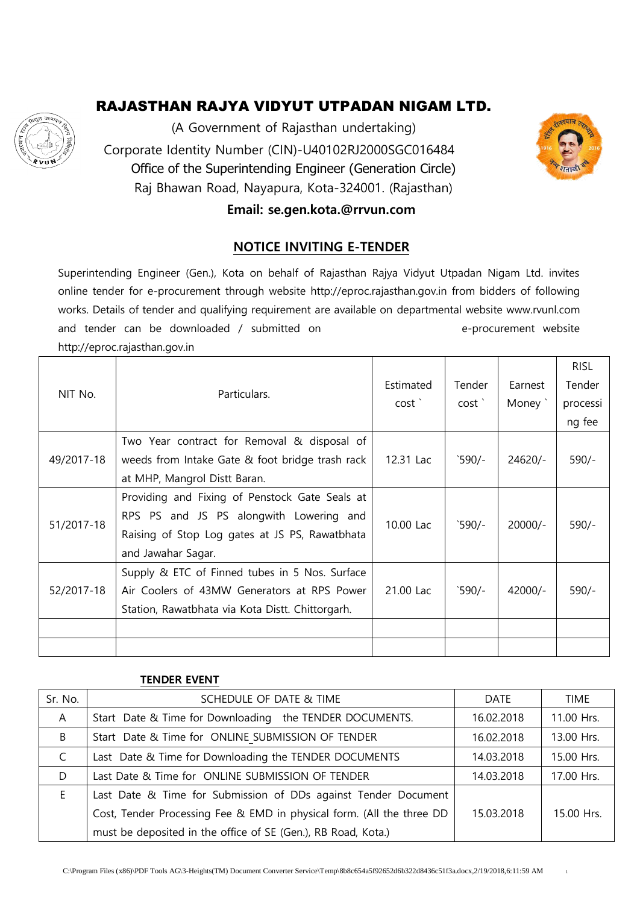

(A Government of Rajasthan undertaking) Corporate Identity Number (CIN)-U40102RJ2000SGC016484 Office of the Superintending Engineer (Generation Circle) Raj Bhawan Road, Nayapura, Kota-324001. (Rajasthan)



#### **Email: se.gen.kota.@rrvun.com**

#### **NOTICE INVITING E-TENDER**

Superintending Engineer (Gen.), Kota on behalf of Rajasthan Rajya Vidyut Utpadan Nigam Ltd. invites online tender for e-procurement through website http://eproc.rajasthan.gov.in from bidders of following works. Details of tender and qualifying requirement are available on departmental website www.rvunl.com and tender can be downloaded / submitted on example and tender website http://eproc.rajasthan.gov.in

|            |                                                  |           |                 |           | <b>RISL</b> |
|------------|--------------------------------------------------|-----------|-----------------|-----------|-------------|
|            |                                                  | Estimated | Tender          | Earnest   | Tender      |
| NIT No.    | Particulars.                                     | cost'     | cost'           | Money `   | processi    |
|            |                                                  |           |                 |           | ng fee      |
|            | Two Year contract for Removal & disposal of      |           |                 |           |             |
| 49/2017-18 | weeds from Intake Gate & foot bridge trash rack  | 12.31 Lac | $590/-$         | $24620/-$ | $590/-$     |
|            | at MHP, Mangrol Distt Baran.                     |           |                 |           |             |
|            | Providing and Fixing of Penstock Gate Seals at   |           |                 |           |             |
| 51/2017-18 | RPS PS and JS PS alongwith Lowering and          | 10.00 Lac | $590/-$         | $20000/-$ | $590/-$     |
|            | Raising of Stop Log gates at JS PS, Rawatbhata   |           |                 |           |             |
|            | and Jawahar Sagar.                               |           |                 |           |             |
| 52/2017-18 | Supply & ETC of Finned tubes in 5 Nos. Surface   |           |                 |           |             |
|            | Air Coolers of 43MW Generators at RPS Power      | 21.00 Lac | $^{\circ}590/-$ | 42000/-   | $590/-$     |
|            | Station, Rawatbhata via Kota Distt. Chittorgarh. |           |                 |           |             |
|            |                                                  |           |                 |           |             |
|            |                                                  |           |                 |           |             |

#### **TENDER EVENT**

| Sr. No.      | SCHEDULE OF DATE & TIME                                               | <b>DATE</b> | <b>TIME</b> |
|--------------|-----------------------------------------------------------------------|-------------|-------------|
| $\mathsf{A}$ | Start Date & Time for Downloading the TENDER DOCUMENTS.               | 16.02.2018  | 11.00 Hrs.  |
| B            | Start Date & Time for ONLINE SUBMISSION OF TENDER                     | 16.02.2018  | 13.00 Hrs.  |
| C            | Last Date & Time for Downloading the TENDER DOCUMENTS                 | 14.03.2018  | 15.00 Hrs.  |
| D            | Last Date & Time for ONLINE SUBMISSION OF TENDER                      | 14.03.2018  | 17.00 Hrs.  |
| E            | Last Date & Time for Submission of DDs against Tender Document        |             |             |
|              | Cost, Tender Processing Fee & EMD in physical form. (All the three DD | 15.03.2018  | 15.00 Hrs.  |
|              | must be deposited in the office of SE (Gen.), RB Road, Kota.)         |             |             |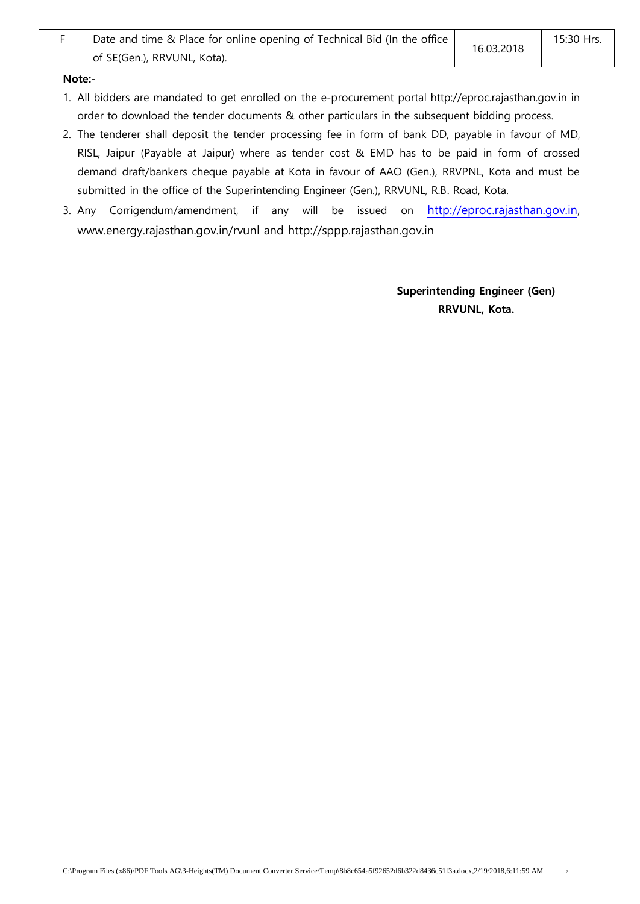#### **Note:-**

- 1. All bidders are mandated to get enrolled on the e-procurement portal http://eproc.rajasthan.gov.in in order to download the tender documents & other particulars in the subsequent bidding process.
- 2. The tenderer shall deposit the tender processing fee in form of bank DD, payable in favour of MD, RISL, Jaipur (Payable at Jaipur) where as tender cost & EMD has to be paid in form of crossed demand draft/bankers cheque payable at Kota in favour of AAO (Gen.), RRVPNL, Kota and must be submitted in the office of the Superintending Engineer (Gen.), RRVUNL, R.B. Road, Kota.
- 3. Any Corrigendum/amendment, if any will be issued on [http://eproc.rajasthan.gov.in,](http://eproc.rajasthan.gov.in/) www.energy.rajasthan.gov.in/rvunl and http://sppp.rajasthan.gov.in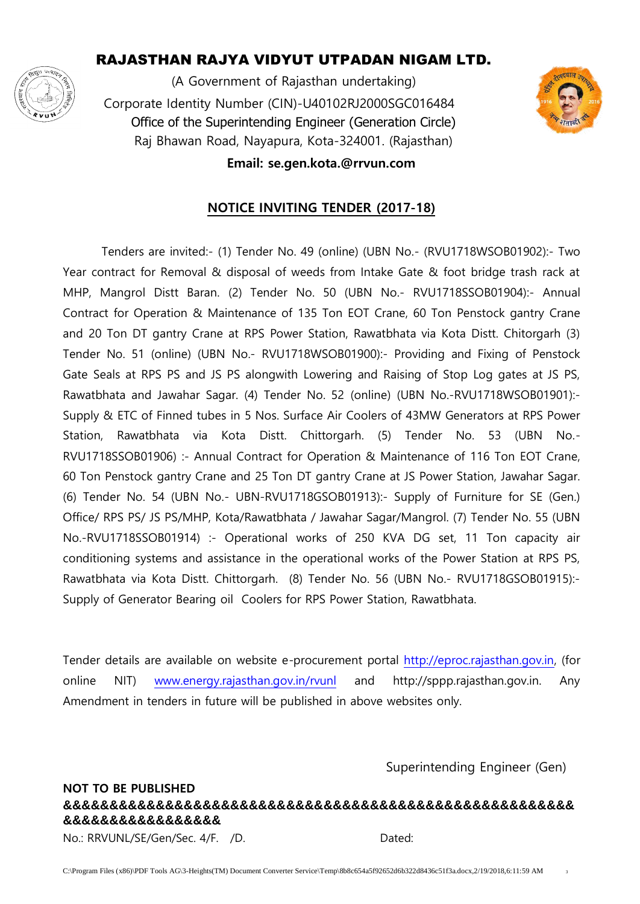

(A Government of Rajasthan undertaking) Corporate Identity Number (CIN)-U40102RJ2000SGC016484 Office of the Superintending Engineer (Generation Circle) Raj Bhawan Road, Nayapura, Kota-324001. (Rajasthan)



#### **Email: se.gen.kota.@rrvun.com**

#### **NOTICE INVITING TENDER (2017-18)**

Tenders are invited:- (1) Tender No. 49 (online) (UBN No.- (RVU1718WSOB01902):- Two Year contract for Removal & disposal of weeds from Intake Gate & foot bridge trash rack at MHP, Mangrol Distt Baran. (2) Tender No. 50 (UBN No.- RVU1718SSOB01904):- Annual Contract for Operation & Maintenance of 135 Ton EOT Crane, 60 Ton Penstock gantry Crane and 20 Ton DT gantry Crane at RPS Power Station, Rawatbhata via Kota Distt. Chitorgarh (3) Tender No. 51 (online) (UBN No.- RVU1718WSOB01900):- Providing and Fixing of Penstock Gate Seals at RPS PS and JS PS alongwith Lowering and Raising of Stop Log gates at JS PS, Rawatbhata and Jawahar Sagar. (4) Tender No. 52 (online) (UBN No.-RVU1718WSOB01901):- Supply & ETC of Finned tubes in 5 Nos. Surface Air Coolers of 43MW Generators at RPS Power Station, Rawatbhata via Kota Distt. Chittorgarh. (5) Tender No. 53 (UBN No.- RVU1718SSOB01906) :- Annual Contract for Operation & Maintenance of 116 Ton EOT Crane, 60 Ton Penstock gantry Crane and 25 Ton DT gantry Crane at JS Power Station, Jawahar Sagar. (6) Tender No. 54 (UBN No.- UBN-RVU1718GSOB01913):- Supply of Furniture for SE (Gen.) Office/ RPS PS/ JS PS/MHP, Kota/Rawatbhata / Jawahar Sagar/Mangrol. (7) Tender No. 55 (UBN No.-RVU1718SSOB01914) :- Operational works of 250 KVA DG set, 11 Ton capacity air conditioning systems and assistance in the operational works of the Power Station at RPS PS, Rawatbhata via Kota Distt. Chittorgarh. (8) Tender No. 56 (UBN No.- RVU1718GSOB01915):- Supply of Generator Bearing oil Coolers for RPS Power Station, Rawatbhata.

Tender details are available on website e-procurement portal [http://eproc.rajasthan.gov.in,](http://eproc.rajasthan.gov.in/) (for online NIT) [www.energy.rajasthan.gov.in/rvunl](http://www.energy.rajasthan.gov.in/rvunl) and http://sppp.rajasthan.gov.in. Any Amendment in tenders in future will be published in above websites only.

Superintending Engineer (Gen)

#### **NOT TO BE PUBLISHED &&&&&&&&&&&&&&&&&&&&&&&&&&&&&&&&&&&&&&&&&&&&&&&&&&&&&&& &&&&&&&&&&&&&&&&&**

No.: RRVUNL/SE/Gen/Sec. 4/F. /D. Dated: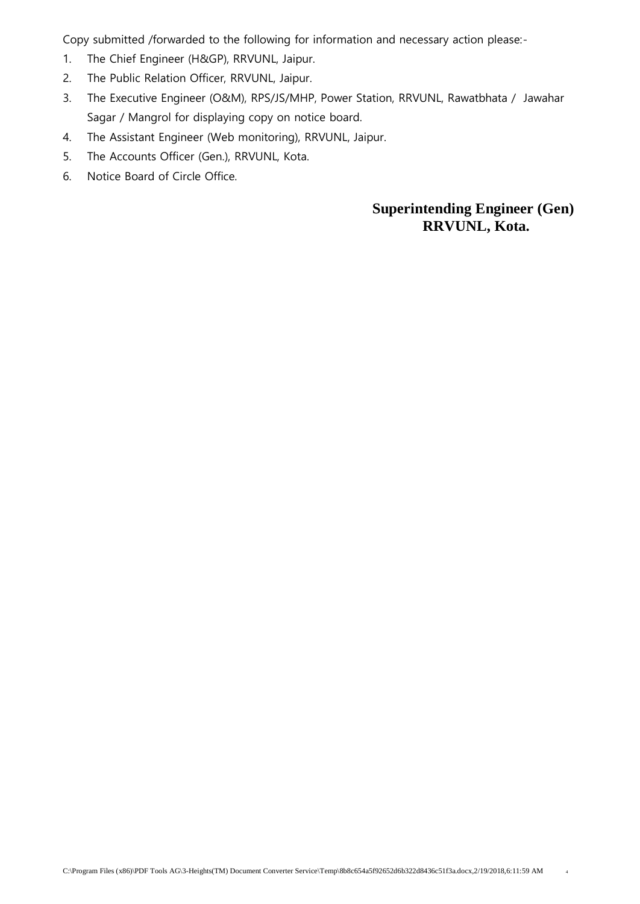Copy submitted /forwarded to the following for information and necessary action please:-

- 1. The Chief Engineer (H&GP), RRVUNL, Jaipur.
- 2. The Public Relation Officer, RRVUNL, Jaipur.
- 3. The Executive Engineer (O&M), RPS/JS/MHP, Power Station, RRVUNL, Rawatbhata / Jawahar Sagar / Mangrol for displaying copy on notice board.
- 4. The Assistant Engineer (Web monitoring), RRVUNL, Jaipur.
- 5. The Accounts Officer (Gen.), RRVUNL, Kota.
- 6. Notice Board of Circle Office.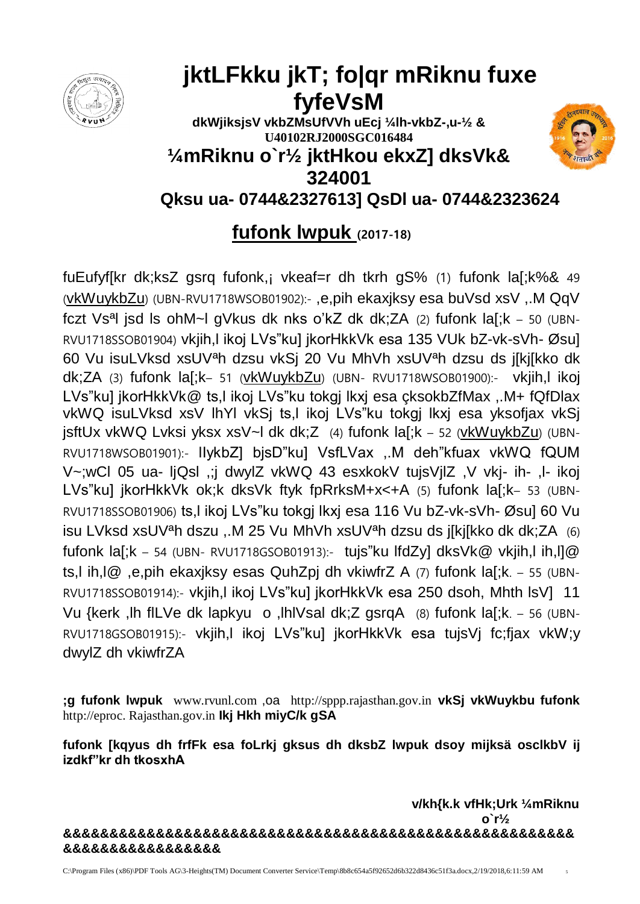

# **jktLFkku jkT; fo|qr mRiknu fuxe fyfeVsM**

**dkWjiksjsV vkbZMsUfVVh uEcj ¼lh-vkbZ-,u-½ & U40102RJ2000SGC016484 ¼mRiknu o`r½ jktHkou ekxZ] dksVk&** 

**324001**



**Qksu ua- 0744&2327613] QsDl ua- 0744&2323624**

# **fufonk lwpuk (2017-18)**

fuEufyf[kr dk;ksZ gsrq fufonk,¡ vkeaf=r dh tkrh gS% (1) fufonk la[;k%& 49 (vkWuykbZu) (UBN-RVU1718WSOB01902):- ,e,pih ekaxjksy esa buVsd xsV ,.M QqV fczt Vsªl jsd ls ohM~l gVkus dk nks o'kZ dk dk;ZA (2) fufonk la[;k – 50 (UBN-RVU1718SSOB01904) vkjih,l ikoj LVs"ku] jkorHkkVk esa 135 VUk bZ-vk-sVh- Øsu] 60 Vu isuLVksd xsUVªh dzsu vkSj 20 Vu MhVh xsUVªh dzsu ds j[kj[kko dk dk;ZA (3) fufonk la[;k– 51 (vkWuykbZu) (UBN- RVU1718WSOB01900):- vkjih,l ikoj LVs"ku] jkorHkkVk@ ts,l ikoj LVs"ku tokgj lkxj esa çksokbZfMax ,.M+ fQfDlax vkWQ isuLVksd xsV lhYl vkSj ts,l ikoj LVs"ku tokgj lkxj esa yksofjax vkSj jsftUx vkWQ Lvksi yksx xsV~l dk dk;Z (4) fufonk la[;k – 52 (vkWuykbZu) (UBN-RVU1718WSOB01901):- lIykbZ] bjsD"ku] VsfLVax ,.M deh"kfuax vkWQ fQUM V~;wCl 05 ua- ljQsl ,;j dwylZ vkWQ 43 esxkokV tujsVjlZ ,V vkj- ih- ,l- ikoj LVs"ku] jkorHkkVk ok;k dksVk ftyk fpRrksM+x<+A (5) fufonk la[;k- 53 (UBN-RVU1718SSOB01906) ts,l ikoj LVs"ku tokgj lkxj esa 116 Vu bZ-vk-sVh- Øsu] 60 Vu isu LVksd xsUVªh dszu ,.M 25 Vu MhVh xsUVªh dzsu ds j[kj[kko dk dk;ZA (6) fufonk la[;k – 54 (UBN- RVU1718GSOB01913):- tujs"ku lfdZy] dksVk@ vkjih,l ih,l]@ ts,l ih,l@ ,e,pih ekaxjksy esas QuhZpj dh vkiwfrZ A (7) fufonk la[;k. – 55 (UBN-RVU1718SSOB01914):- vkjih,l ikoj LVs"ku] jkorHkkVk esa 250 dsoh, Mhth lsV] 11 Vu {kerk ,lh flLVe dk lapkyu o ,lhlVsal dk;Z gsrqA (8) fufonk la[;k. – 56 (UBN-RVU1718GSOB01915):- vkjih,l ikoj LVs"ku] jkorHkkVk esa tujsVj fc;fjax vkW;y dwylZ dh vkiwfrZA

**;g fufonk lwpuk** www.rvunl.com ,oa http://sppp.rajasthan.gov.in **vkSj vkWuykbu fufonk** http://eproc. Rajasthan.gov.in **Ikj Hkh miyC/k gSA**

**fufonk [kqyus dh frfFk esa foLrkj gksus dh dksbZ lwpuk dsoy mijksä osclkbV ij izdkf"kr dh tkosxhA** 

**v/kh{k.k vfHk;Urk ¼mRiknu o`r½ &&&&&&&&&&&&&&&&&&&&&&&&&&&&&&&&&&&&&&&&&&&&&&&&&&&&&&& &&&&&&&&&&&&&&&&&**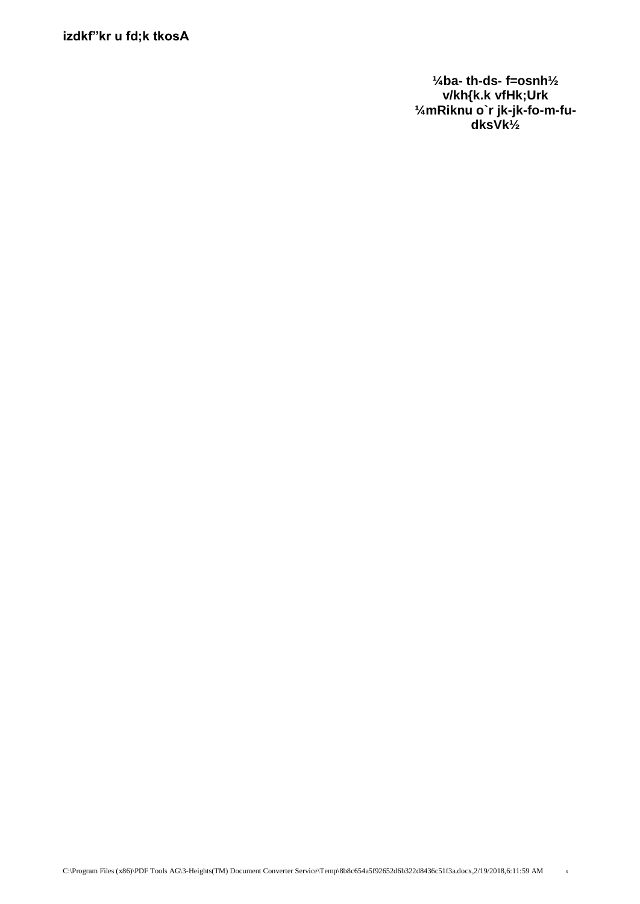**izdkf"kr u fd;k tkosA**

**¼ba- th-ds- f=osnh½ v/kh{k.k vfHk;Urk ¼mRiknu o`r jk-jk-fo-m-fudksVk½**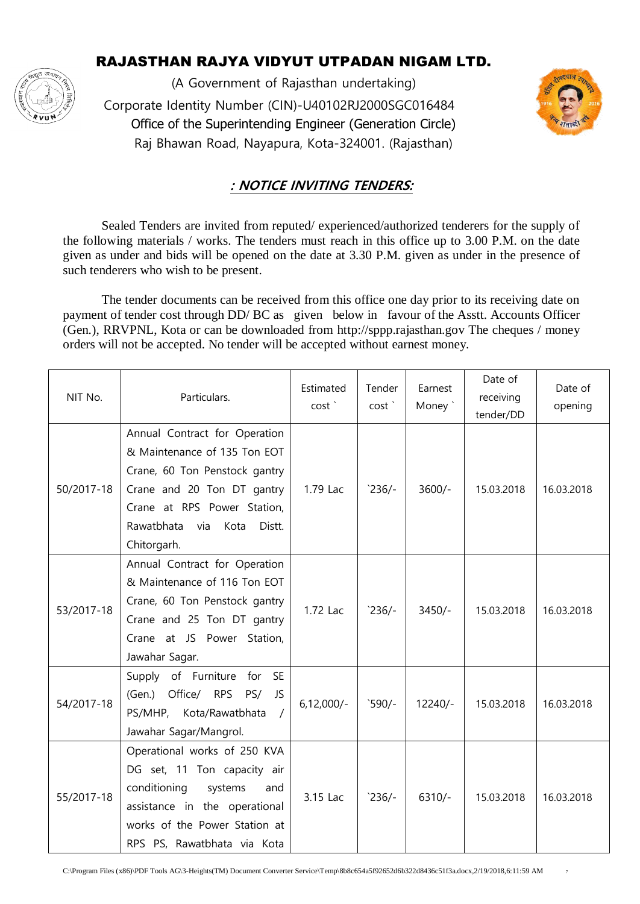

(A Government of Rajasthan undertaking) Corporate Identity Number (CIN)-U40102RJ2000SGC016484 Office of the Superintending Engineer (Generation Circle) Raj Bhawan Road, Nayapura, Kota-324001. (Rajasthan)



#### **: NOTICE INVITING TENDERS:**

Sealed Tenders are invited from reputed/ experienced/authorized tenderers for the supply of the following materials / works. The tenders must reach in this office up to 3.00 P.M. on the date given as under and bids will be opened on the date at 3.30 P.M. given as under in the presence of such tenderers who wish to be present.

The tender documents can be received from this office one day prior to its receiving date on payment of tender cost through DD/ BC as given below in favour of the Asstt. Accounts Officer (Gen.), RRVPNL, Kota or can be downloaded from http://sppp.rajasthan.gov The cheques / money orders will not be accepted. No tender will be accepted without earnest money.

| NIT No.    | Particulars.                                                                                                                                                                                                      | Estimated<br>cost <sup>'</sup> | Tender<br>cost <sup>'</sup> | Earnest<br>Money ` | Date of<br>receiving<br>tender/DD | Date of<br>opening |
|------------|-------------------------------------------------------------------------------------------------------------------------------------------------------------------------------------------------------------------|--------------------------------|-----------------------------|--------------------|-----------------------------------|--------------------|
| 50/2017-18 | Annual Contract for Operation<br>& Maintenance of 135 Ton EOT<br>Crane, 60 Ton Penstock gantry<br>Crane and 20 Ton DT gantry<br>Crane at RPS Power Station,<br>Rawatbhata<br>via<br>Kota<br>Distt.<br>Chitorgarh. | 1.79 Lac                       | $236/-$                     | $3600/-$           | 15.03.2018                        | 16.03.2018         |
| 53/2017-18 | Annual Contract for Operation<br>& Maintenance of 116 Ton EOT<br>Crane, 60 Ton Penstock gantry<br>Crane and 25 Ton DT gantry<br>Crane at JS Power Station,<br>Jawahar Sagar.                                      | 1.72 Lac                       | $236/-$                     | $3450/-$           | 15.03.2018                        | 16.03.2018         |
| 54/2017-18 | Supply of Furniture<br><b>SE</b><br>for<br>(Gen.)<br>Office/ RPS<br>PS/<br>JS<br>PS/MHP, Kota/Rawatbhata<br>Jawahar Sagar/Mangrol.                                                                                | $6,12,000/-$                   | $590/-$                     | $12240/-$          | 15.03.2018                        | 16.03.2018         |
| 55/2017-18 | Operational works of 250 KVA<br>DG set, 11 Ton capacity air<br>conditioning<br>systems<br>and<br>assistance in the operational<br>works of the Power Station at<br>RPS PS, Rawatbhata via Kota                    | 3.15 Lac                       | $236/-$                     | $6310/-$           | 15.03.2018                        | 16.03.2018         |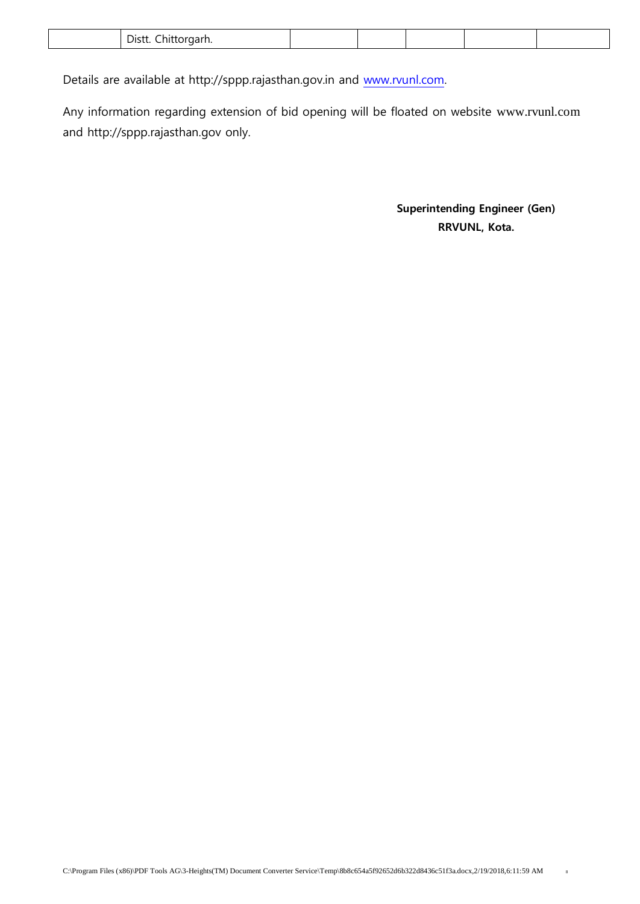|  | Dictt<br>н<br>эктан<br>וט ש<br>.<br>. . |  |  |  |  |  |
|--|-----------------------------------------|--|--|--|--|--|
|--|-----------------------------------------|--|--|--|--|--|

Details are available at http://sppp.rajasthan.gov.in and [www.rvunl.com.](http://www.rvunl.com/)

Any information regarding extension of bid opening will be floated on website www.rvunl.com and http://sppp.rajasthan.gov only.